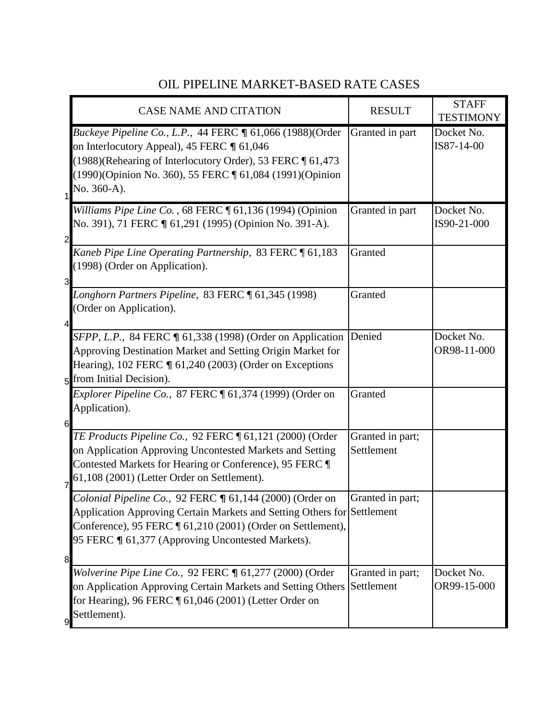## OIL PIPELINE MARKET-BASED RATE CASES

|                | <b>CASE NAME AND CITATION</b>                                                                                                                                                                                                                           | <b>RESULT</b>                  | <b>STAFF</b><br><b>TESTIMONY</b> |
|----------------|---------------------------------------------------------------------------------------------------------------------------------------------------------------------------------------------------------------------------------------------------------|--------------------------------|----------------------------------|
| $\mathbf 1$    | <i>Buckeye Pipeline Co., L.P., 44 FERC</i> ¶ 61,066 (1988)(Order<br>on Interlocutory Appeal), 45 FERC ¶ 61,046<br>(1988)(Rehearing of Interlocutory Order), 53 FERC [ 61,473<br>(1990)(Opinion No. 360), 55 FERC 1 61,084 (1991)(Opinion<br>No. 360-A). | Granted in part                | Docket No.<br>IS87-14-00         |
| $\overline{c}$ | Williams Pipe Line Co., 68 FERC 161,136 (1994) (Opinion<br>No. 391), 71 FERC ¶ 61,291 (1995) (Opinion No. 391-A).                                                                                                                                       | Granted in part                | Docket No.<br>IS90-21-000        |
| 3              | Kaneb Pipe Line Operating Partnership, 83 FERC 161,183<br>(1998) (Order on Application).                                                                                                                                                                | Granted                        |                                  |
| 4              | Longhorn Partners Pipeline, 83 FERC 161,345 (1998)<br>(Order on Application).                                                                                                                                                                           | Granted                        |                                  |
|                | SFPP, L.P., 84 FERC ¶ 61,338 (1998) (Order on Application<br>Approving Destination Market and Setting Origin Market for<br>Hearing), 102 FERC ¶ 61,240 (2003) (Order on Exceptions<br>5 from Initial Decision).                                         | Denied                         | Docket No.<br>OR98-11-000        |
| 6              | <i>Explorer Pipeline Co., 87 FERC</i> $\llbracket 61,374$ (1999) (Order on<br>Application).                                                                                                                                                             | Granted                        |                                  |
| $\overline{7}$ | TE Products Pipeline Co., 92 FERC ¶ 61,121 (2000) (Order<br>on Application Approving Uncontested Markets and Setting<br>Contested Markets for Hearing or Conference), 95 FERC ¶<br>61,108 (2001) (Letter Order on Settlement).                          | Granted in part;<br>Settlement |                                  |
|                | Colonial Pipeline Co., 92 FERC ¶ 61,144 (2000) (Order on<br>Application Approving Certain Markets and Setting Others for Settlement<br>Conference), 95 FERC [ 61,210 (2001) (Order on Settlement),<br>95 FERC ¶ 61,377 (Approving Uncontested Markets). | Granted in part;               |                                  |
| 8              | Wolverine Pipe Line Co., 92 FERC ¶ 61,277 (2000) (Order<br>on Application Approving Certain Markets and Setting Others<br>for Hearing), 96 FERC $\P$ 61,046 (2001) (Letter Order on<br>Settlement).                                                     | Granted in part;<br>Settlement | Docket No.<br>OR99-15-000        |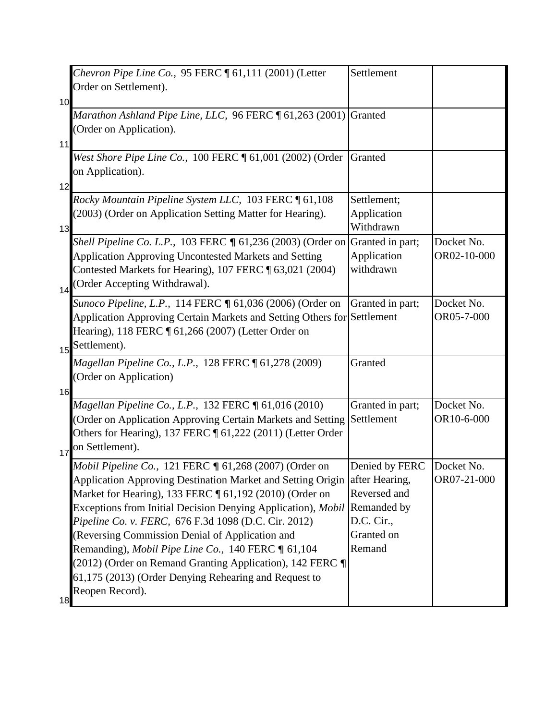|    | Chevron Pipe Line Co., $95$ FERC $\P$ 61,111 (2001) (Letter<br>Order on Settlement).                                                                                                                                                                                                                                                                                                                                                                                                                                                                                                  | Settlement                                                           |                           |
|----|---------------------------------------------------------------------------------------------------------------------------------------------------------------------------------------------------------------------------------------------------------------------------------------------------------------------------------------------------------------------------------------------------------------------------------------------------------------------------------------------------------------------------------------------------------------------------------------|----------------------------------------------------------------------|---------------------------|
| 10 |                                                                                                                                                                                                                                                                                                                                                                                                                                                                                                                                                                                       |                                                                      |                           |
| 11 | Marathon Ashland Pipe Line, LLC, 96 FERC 1 61,263 (2001) Granted<br>(Order on Application).                                                                                                                                                                                                                                                                                                                                                                                                                                                                                           |                                                                      |                           |
| 12 | West Shore Pipe Line Co., 100 FERC ¶ 61,001 (2002) (Order<br>on Application).                                                                                                                                                                                                                                                                                                                                                                                                                                                                                                         | Granted                                                              |                           |
| 13 | Rocky Mountain Pipeline System LLC, 103 FERC 161,108<br>(2003) (Order on Application Setting Matter for Hearing).                                                                                                                                                                                                                                                                                                                                                                                                                                                                     | Settlement;<br>Application<br>Withdrawn                              |                           |
| 14 | Shell Pipeline Co. L.P., 103 FERC ¶ 61,236 (2003) (Order on<br><b>Application Approving Uncontested Markets and Setting</b><br>Contested Markets for Hearing), 107 FERC ¶ 63,021 (2004)<br>(Order Accepting Withdrawal).                                                                                                                                                                                                                                                                                                                                                              | Granted in part;<br>Application<br>withdrawn                         | Docket No.<br>OR02-10-000 |
| 15 | Sunoco Pipeline, L.P., 114 FERC ¶ 61,036 (2006) (Order on<br>Application Approving Certain Markets and Setting Others for Settlement<br>Hearing), 118 FERC ¶ 61,266 (2007) (Letter Order on<br>Settlement).                                                                                                                                                                                                                                                                                                                                                                           | Granted in part;                                                     | Docket No.<br>OR05-7-000  |
| 16 | Magellan Pipeline Co., L.P., 128 FERC ¶ 61,278 (2009)<br>(Order on Application)                                                                                                                                                                                                                                                                                                                                                                                                                                                                                                       | Granted                                                              |                           |
| 17 | Magellan Pipeline Co., L.P., 132 FERC ¶ 61,016 (2010)<br>Order on Application Approving Certain Markets and Setting<br>Others for Hearing), 137 FERC ¶ 61,222 (2011) (Letter Order<br>on Settlement).                                                                                                                                                                                                                                                                                                                                                                                 | Granted in part;<br>Settlement                                       | Docket No.<br>OR10-6-000  |
|    | Mobil Pipeline Co., 121 FERC ¶ 61,268 (2007) (Order on<br>Application Approving Destination Market and Setting Origin after Hearing,<br>Market for Hearing), 133 FERC ¶ 61,192 (2010) (Order on<br>Exceptions from Initial Decision Denying Application), Mobil Remanded by<br>Pipeline Co. v. FERC, 676 F.3d 1098 (D.C. Cir. 2012)<br>(Reversing Commission Denial of Application and<br>Remanding), Mobil Pipe Line Co., 140 FERC ¶ 61,104<br>(2012) (Order on Remand Granting Application), 142 FERC ¶<br>61,175 (2013) (Order Denying Rehearing and Request to<br>Reopen Record). | Denied by FERC<br>Reversed and<br>D.C. Cir.,<br>Granted on<br>Remand | Docket No.<br>OR07-21-000 |
| 18 |                                                                                                                                                                                                                                                                                                                                                                                                                                                                                                                                                                                       |                                                                      |                           |